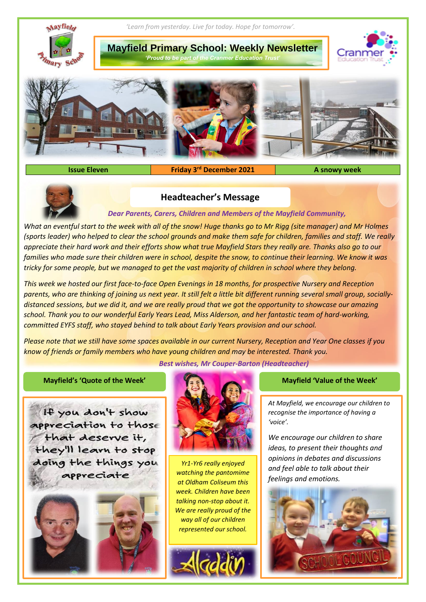

**Issue Eleven** 

**Friday 3<sup>rd</sup> December 2021 A snowy week** 



# **Headteacher's Message**

## *Dear Parents, Carers, Children and Members of the Mayfield Community,*

*What an eventful start to the week with all of the snow! Huge thanks go to Mr Rigg (site manager) and Mr Holmes (sports leader) who helped to clear the school grounds and make them safe for children, families and staff. We really appreciate their hard work and their efforts show what true Mayfield Stars they really are. Thanks also go to our*  families who made sure their children were in school, despite the snow, to continue their learning. We know it was *tricky for some people, but we managed to get the vast majority of children in school where they belong.*

*This week we hosted our first face-to-face Open Evenings in 18 months, for prospective Nursery and Reception parents, who are thinking of joining us next year. It still felt a little bit different running several small group, sociallydistanced sessions, but we did it, and we are really proud that we got the opportunity to showcase our amazing school. Thank you to our wonderful Early Years Lead, Miss Alderson, and her fantastic team of hard-working, committed EYFS staff, who stayed behind to talk about Early Years provision and our school.* 

*Please note that we still have some spaces available in our current Nursery, Reception and Year One classes if you know of friends or family members who have young children and may be interested. Thank you.*

*Best wishes, Mr Couper-Barton (Headteacher)*

## **Mayfield's 'Quote of the Week' Mayfield 'Value of the Week'**

If you don't show appreciation to those that deserve it, they'll learn to stop doing the things you appreciate







*Yr1-Yr6 really enjoyed watching the pantomime at Oldham Coliseum this week. Children have been talking non-stop about it. We are really proud of the way all of our children represented our school.*



*At Mayfield, we encourage our children to recognise the importance of having a 'voice'.*

*We encourage our children to share ideas, to present their thoughts and opinions in debates and discussions and feel able to talk about their feelings and emotions.* 

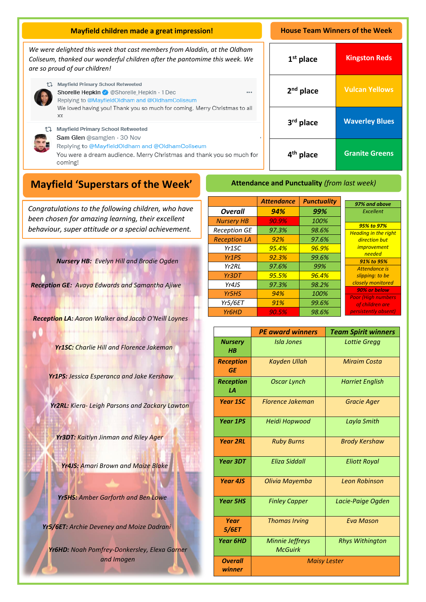| <b>Mayfield children made a great impression!</b>                                                                                                                                                                   |                       | <b>House Team Winners of the Week</b> |  |  |
|---------------------------------------------------------------------------------------------------------------------------------------------------------------------------------------------------------------------|-----------------------|---------------------------------------|--|--|
| We were delighted this week that cast members from Aladdin, at the Oldham<br>Coliseum, thanked our wonderful children after the pantomime this week. We<br>are so proud of our children!                            | $1st$ place           | <b>Kingston Reds</b>                  |  |  |
| Mayfield Primary School Retweeted<br>Shorelle Hepkin & @Shorelle Hepkin · 1 Dec<br><br>Replying to @MayfieldOldham and @OldhamColiseum<br>We loved having you! Thank you so much for coming. Merry Christmas to all | $2nd$ place           | <b>Vulcan Yellows</b>                 |  |  |
| XX<br><b>Mayfield Primary School Retweeted</b>                                                                                                                                                                      | 3rd place             | <b>Waverley Blues</b>                 |  |  |
| Sam Glen @samglen · 30 Nov<br>Replying to @MayfieldOldham and @OldhamColiseum<br>You were a dream audience. Merry Christmas and thank you so much for<br>coming!                                                    | 4 <sup>th</sup> place | <b>Granite Greens</b>                 |  |  |
| <b>Attendance and Punctuality (from last week)</b><br><b>Mayfield 'Superstars of the Week'</b>                                                                                                                      |                       |                                       |  |  |

A *been chosen for amazing learning, their excellent Congratulations to the following children, who have behaviour, super attitude or a special achievement.*

*Nursery HB: Evelyn Hill and Brodie Ogden* 

*Reception GE: Avaya Edwards and Samantha Ajiwe*

*Reception LA: Aaron Walker and Jacob O'Neill Loynes*

*Yr1SC: Charlie Hill and Florence Jakeman*

*Yr1PS: Jessica Esperanca and Jake Kershaw*

*Yr2RL: Kiera- Leigh Parsons and Zackary Lawton*

*Yr3DT: Kaitlyn Jinman and Riley Ager*

*Yr4JS: Amari Brown and Maize Blake*

*Yr5HS: Amber Garforth and Ben Lowe*

*Yr5/6ET: Archie Deveney and Moize Dadrani*

*Yr6HD: Noah Pomfrey-Donkersley, Elexa Garner and Imogen*

|                     | <b>Attendance</b> | <b>Punctuality</b> | 97% and above                              |
|---------------------|-------------------|--------------------|--------------------------------------------|
| <b>Overall</b>      | 94%               | 99%                | Excellent                                  |
| <b>Nursery HB</b>   | 90.9%             | 100%               |                                            |
| <b>Reception GE</b> | 97.3%             | 98.6%              | 95% to 97%<br><b>Heading in the right</b>  |
| <b>Reception LA</b> | 92%               | 97.6%              | direction but                              |
| Yr <sub>1</sub> SC  | 95.4%             | 96.9%              | <i>improvement</i>                         |
| Yr <sub>1</sub> PS  | 92.3%             | 99.6%              | needed                                     |
| Yr2RI               | 97.6%             | 99%                | 91% to 95%<br>Attendance is                |
| Yr3DT               | 95.5%             | 96.4%              | slipping: to be                            |
| Yr4JS               | 97.3%             | 98.2%              | closely monitored                          |
| Yr5HS               | 94%               | 100%               | 90% or below<br><b>Poor (High numbers)</b> |
| <b>Yr5/6ET</b>      | 91%               | 99.6%              | of children are                            |
| Yr <sub>6</sub> HD  | 90.5%             | 98.6%              | persistently absent)                       |

|                               | <b>PE award winners</b>           | <b>Team Spirit winners</b> |  |
|-------------------------------|-----------------------------------|----------------------------|--|
| <b>Nursery</b><br>H B         | Isla Jones                        | <b>Lottie Gregg</b>        |  |
| <b>Reception</b><br><b>GF</b> | <b>Kayden Ullah</b>               | <b>Miraim Costa</b>        |  |
| <b>Reception</b><br>1А        | <b>Oscar Lynch</b>                | <b>Harriet English</b>     |  |
| <b>Year 1SC</b>               | <b>Florence Jakeman</b>           | <b>Gracie Ager</b>         |  |
| <b>Year 1PS</b>               | Heidi Hopwood                     | Layla Smith                |  |
| <b>Year 2RL</b>               | <b>Ruby Burns</b>                 | <b>Brody Kershaw</b>       |  |
| Year 3DT                      | <b>Eliza Siddall</b>              | <b>Eliott Royal</b>        |  |
| <b>Year 4JS</b>               | Olivia Mayemba                    | <b>Leon Robinson</b>       |  |
| <b>Year 5HS</b>               | <b>Finley Capper</b>              | Lacie-Paige Ogden          |  |
| Year<br>5/6ET                 | <b>Thomas Irving</b>              | <b>Eva Mason</b>           |  |
| <b>Year 6HD</b>               | Minnie Jeffreys<br><b>McGuirk</b> | <b>Rhys Withington</b>     |  |
| <b>Overall</b><br>winner      | <b>Maisy Lester</b>               |                            |  |